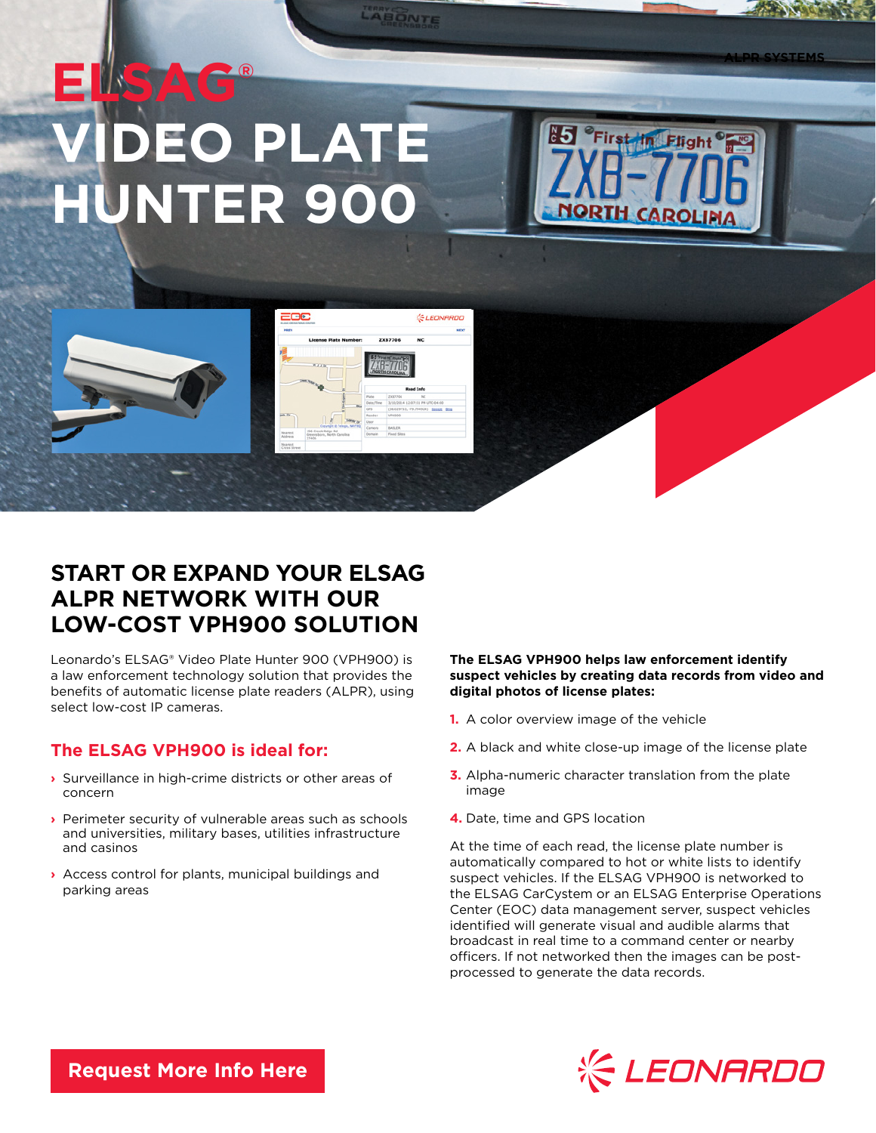# **ELSAG® PEO PLATE HUNTER 900**



**ALPR SYSTEMS**



|                           | ELSAS OPERATIONS CENTER                           |                  |                                                   | <b>LEONARDO</b>                     |
|---------------------------|---------------------------------------------------|------------------|---------------------------------------------------|-------------------------------------|
| PREV                      |                                                   |                  |                                                   | NEXT                                |
|                           | <b>License Plate Number:</b>                      |                  | <b>ZXB7706</b>                                    | NC.                                 |
|                           | 双工工程<br><b>CHECKER ROAD</b>                       |                  | <b>J "First IN Floor"</b><br><b>SORTH CAROLIN</b> |                                     |
|                           |                                                   | <b>Read Info</b> |                                                   |                                     |
|                           |                                                   | Plate            | 2337706                                           | $_{sc}$                             |
|                           | <b>W</b>                                          | Date/Time        |                                                   | 3/10/2014 12:07:51 PH UTC-04:00     |
|                           |                                                   | cas              |                                                   | (36.020753, -79.794924) Google Bing |
| une De                    |                                                   | Reader           | <b>VPHISOD</b>                                    |                                     |
|                           | <b>Extray or</b>                                  | <b>Dans</b>      |                                                   |                                     |
|                           | Ceouright @ Telegia, NAVTEQ<br>196 Creek Ridge Rd | Camera           | <b>BASLER</b>                                     |                                     |
| <b>Nearest</b><br>Address | Greensboro, North Carolina<br>27406               | Domain           | Fload Shee                                        |                                     |
| <b>Nearest</b>            |                                                   |                  |                                                   |                                     |

LABONTE

# **START OR EXPAND YOUR ELSAG ALPR NETWORK WITH OUR LOW-COST VPH900 SOLUTION**

Leonardo's ELSAG® Video Plate Hunter 900 (VPH900) is a law enforcement technology solution that provides the benefits of automatic license plate readers (ALPR), using select low-cost IP cameras.

## **The ELSAG VPH900 is ideal for:**

- **›** Surveillance in high-crime districts or other areas of concern
- **›** Perimeter security of vulnerable areas such as schools and universities, military bases, utilities infrastructure and casinos
- **›** Access control for plants, municipal buildings and parking areas

## **The ELSAG VPH900 helps law enforcement identify suspect vehicles by creating data records from video and digital photos of license plates:**

- **1.** A color overview image of the vehicle
- **2.** A black and white close-up image of the license plate
- **3.** Alpha-numeric character translation from the plate image
- **4.** Date, time and GPS location

At the time of each read, the license plate number is automatically compared to hot or white lists to identify suspect vehicles. If the ELSAG VPH900 is networked to the ELSAG CarCystem or an ELSAG Enterprise Operations Center (EOC) data management server, suspect vehicles identified will generate visual and audible alarms that broadcast in real time to a command center or nearby officers. If not networked then the images can be postprocessed to generate the data records.



**[Request More Info Here](https://www.leonardocompany-us.com/lpr/qr_info_request)**